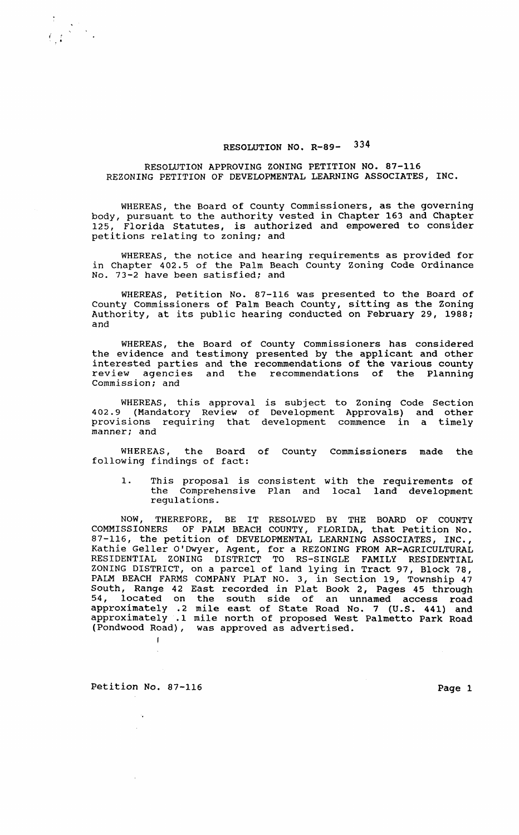## RESOLUTION NO. R-89- 334

## RESOLUTION APPROVING ZONING PETITION NO. 87-116 REZONING PETITION OF DEVELOPMENTAL LEARNING ASSOCIATES, INC.

WHEREAS, the Board of county commissioners, as the governing body, pursuant to the authority vested in Chapter 163 and Chapter 125, Florida Statutes, is authorized and empowered to consider petitions relating to zoning; and

WHEREAS, the notice and hearing requirements as provided for in Chapter 402.5 of the Palm Beach County Zoning Code Ordinance No. 73-2 have been satisfied; and

WHEREAS, Petition No. 87-116 was presented to the Board of County Commissioners of Palm Beach County, sitting as the Zoning Authority, at its public hearing conducted on February 29, 1988; and

WHEREAS, the Board of County Commissioners has considered the evidence and testimony presented by the applicant and other interested parties and the recommendations of the various county review agencies and the recommendations of the Planning Commission; and

WHEREAS, this approval is subject to Zoning Code Section 402.9 (Mandatory Review of Development Approvals) and other provisions requiring that development commence in a timely manner; and

WHEREAS, the Board of County commissioners made the following findings of fact:

1. This proposal is consistent with the requirements of the Comprehensive Plan and local land development regulations.

NOW, THEREFORE, BE IT RESOLVED BY THE BOARD OF COUNTY COMMISSIONERS OF PALM BEACH COUNTY, FLORIDA, that Petition No. 87-116, the petition of DEVELOPMENTAL LEARNING ASSOCIATES, INC., Kathie Geller O'Dwyer, Agent, for a REZONING FROM AR-AGRICULTURAL RESIDENTIAL ZONING DISTRICT TO RS-SINGLE FAMILY RESIDENTIAL ZONING DISTRICT, on a parcel of land lying in Tract 97, Block 78, PALM BEACH FARMS COMPANY PLAT NO. 3, in Section 19, Township 47 South, Range 42 East recorded in Plat Book 2, Pages 45 through 54, located on the south side of an unnamed access road approximately .2 mile east of State Road No. 7 (U.S. 441) and approximately .1 mile north of proposed West Palmetto Park Road (Pondwood Road), was approved as advertised. (Pondwood Road),

Petition No. 87-116 Page 1

 $\left(\begin{array}{ccc} & \sqrt{2} & \sqrt{2} \ 1 & \sqrt{2} & \sqrt{2} \end{array}\right)$